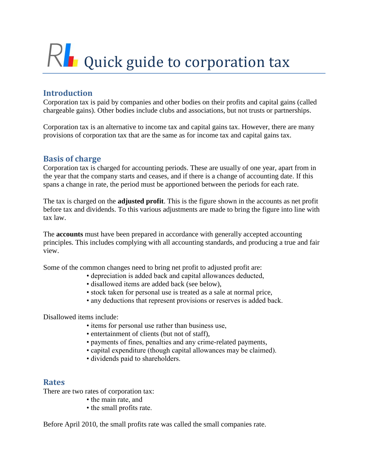# $R$  Quick guide to corporation tax

# **Introduction**

Corporation tax is paid by companies and other bodies on their profits and capital gains (called chargeable gains). Other bodies include clubs and associations, but not trusts or partnerships.

Corporation tax is an alternative to income tax and capital gains tax. However, there are many provisions of corporation tax that are the same as for income tax and capital gains tax.

#### **Basis of charge**

Corporation tax is charged for accounting periods. These are usually of one year, apart from in the year that the company starts and ceases, and if there is a change of accounting date. If this spans a change in rate, the period must be apportioned between the periods for each rate.

The tax is charged on the **adjusted profit**. This is the figure shown in the accounts as net profit before tax and dividends. To this various adjustments are made to bring the figure into line with tax law.

The **accounts** must have been prepared in accordance with generally accepted accounting principles. This includes complying with all accounting standards, and producing a true and fair view.

Some of the common changes need to bring net profit to adjusted profit are:

- depreciation is added back and capital allowances deducted,
	- disallowed items are added back (see below),
	- stock taken for personal use is treated as a sale at normal price,
	- any deductions that represent provisions or reserves is added back.

Disallowed items include:

- items for personal use rather than business use,
- entertainment of clients (but not of staff),
- payments of fines, penalties and any crime-related payments,
- capital expenditure (though capital allowances may be claimed).
- dividends paid to shareholders.

#### **Rates**

There are two rates of corporation tax:

- the main rate, and
- the small profits rate.

Before April 2010, the small profits rate was called the small companies rate.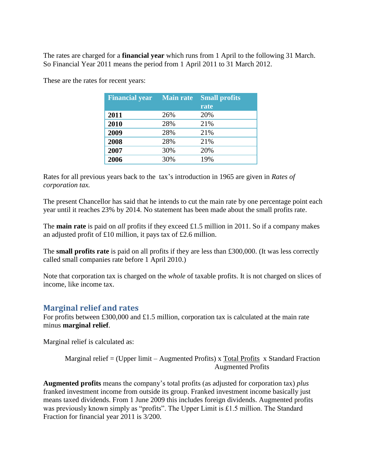The rates are charged for a **financial year** which runs from 1 April to the following 31 March. So Financial Year 2011 means the period from 1 April 2011 to 31 March 2012.

| <b>Financial year</b> | <b>Main rate</b> | <b>Small profits</b><br>rate |
|-----------------------|------------------|------------------------------|
| 2011                  | 26%              | 20%                          |
| 2010                  | 28%              | 21%                          |
| 2009                  | 28%              | 21%                          |
| 2008                  | 28%              | 21%                          |
| 2007                  | 30%              | 20%                          |
| 2006                  | 30%              | 19%                          |

These are the rates for recent years:

Rates for all previous years back to the tax's introduction in 1965 are given in *Rates of corporation tax.*

The present Chancellor has said that he intends to cut the main rate by one percentage point each year until it reaches 23% by 2014. No statement has been made about the small profits rate.

The **main rate** is paid on *all* profits if they exceed £1.5 million in 2011. So if a company makes an adjusted profit of £10 million, it pays tax of £2.6 million.

The **small profits rate** is paid on all profits if they are less than £300,000. (It was less correctly called small companies rate before 1 April 2010.)

Note that corporation tax is charged on the *whole* of taxable profits. It is not charged on slices of income, like income tax.

#### **Marginal relief and rates**

For profits between £300,000 and £1.5 million, corporation tax is calculated at the main rate minus **marginal relief**.

Marginal relief is calculated as:

```
Marginal relief = (Upper limit – Augmented Profits) x Total Profits x Standard Fraction
                                       Augmented Profits
```
**Augmented profits** means the company's total profits (as adjusted for corporation tax) *plus*  franked investment income from outside its group. Franked investment income basically just means taxed dividends. From 1 June 2009 this includes foreign dividends. Augmented profits was previously known simply as "profits". The Upper Limit is £1.5 million. The Standard Fraction for financial year 2011 is 3/200.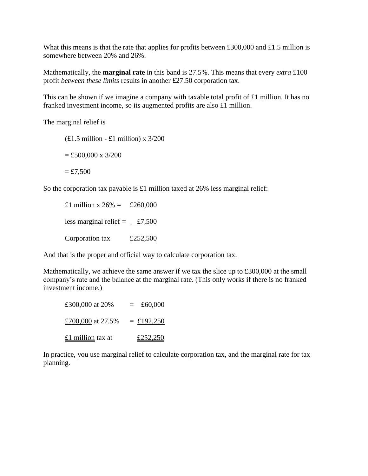What this means is that the rate that applies for profits between £300,000 and £1.5 million is somewhere between 20% and 26%.

Mathematically, the **marginal rate** in this band is 27.5%. This means that every *extra* £100 profit *between these limits* results in another £27.50 corporation tax.

This can be shown if we imagine a company with taxable total profit of £1 million. It has no franked investment income, so its augmented profits are also £1 million.

The marginal relief is

 $£1.5$  million - £1 million) x  $3/200$  $= £500,000 \times 3/200$  $=$  £7,500

So the corporation tax payable is £1 million taxed at 26% less marginal relief:

£1 million x  $26\% = \text{\pounds}260,000$ less marginal relief =  $\angle 7,500$ Corporation tax  $\pounds 252,500$ 

And that is the proper and official way to calculate corporation tax.

Mathematically, we achieve the same answer if we tax the slice up to £300,000 at the small company's rate and the balance at the marginal rate. (This only works if there is no franked investment income.)

| £300,000 at 20%   | £60,000<br>$=$ |
|-------------------|----------------|
| £700,000 at 27.5% | $=$ £192,250   |
| £1 million tax at | £252,250       |

In practice, you use marginal relief to calculate corporation tax, and the marginal rate for tax planning.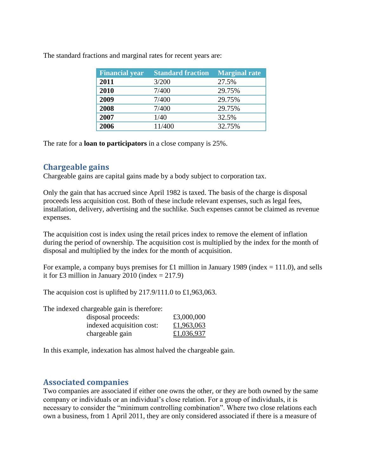| <b>Financial year</b> | <b>Standard fraction</b> | <b>Marginal rate</b> |
|-----------------------|--------------------------|----------------------|
| 2011                  | 3/200                    | 27.5%                |
| 2010                  | 7/400                    | 29.75%               |
| 2009                  | 7/400                    | 29.75%               |
| 2008                  | 7/400                    | 29.75%               |
| 2007                  | 1/40                     | 32.5%                |
| 2006                  | 11/400                   | 32.75%               |

The standard fractions and marginal rates for recent years are:

The rate for a **loan to participators** in a close company is 25%.

#### **Chargeable gains**

Chargeable gains are capital gains made by a body subject to corporation tax.

Only the gain that has accrued since April 1982 is taxed. The basis of the charge is disposal proceeds less acquisition cost. Both of these include relevant expenses, such as legal fees, installation, delivery, advertising and the suchlike. Such expenses cannot be claimed as revenue expenses.

The acquisition cost is index using the retail prices index to remove the element of inflation during the period of ownership. The acquisition cost is multiplied by the index for the month of disposal and multiplied by the index for the month of acquisition.

For example, a company buys premises for £1 million in January 1989 (index  $= 111.0$ ), and sells it for £3 million in January 2010 (index  $= 217.9$ )

The acquision cost is uplifted by 217.9/111.0 to £1,963,063.

The indexed chargeable gain is therefore:

| disposal proceeds:        | £3,000,000 |
|---------------------------|------------|
| indexed acquisition cost: | £1,963,063 |
| chargeable gain           | £1,036,937 |

In this example, indexation has almost halved the chargeable gain.

## **Associated companies**

Two companies are associated if either one owns the other, or they are both owned by the same company or individuals or an individual's close relation. For a group of individuals, it is necessary to consider the "minimum controlling combination". Where two close relations each own a business, from 1 April 2011, they are only considered associated if there is a measure of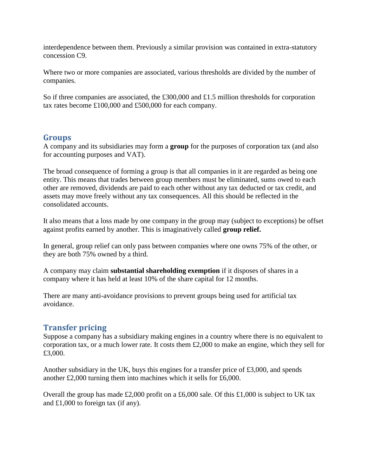interdependence between them. Previously a similar provision was contained in extra-statutory concession C9.

Where two or more companies are associated, various thresholds are divided by the number of companies.

So if three companies are associated, the £300,000 and £1.5 million thresholds for corporation tax rates become £100,000 and £500,000 for each company.

#### **Groups**

A company and its subsidiaries may form a **group** for the purposes of corporation tax (and also for accounting purposes and VAT).

The broad consequence of forming a group is that all companies in it are regarded as being one entity. This means that trades between group members must be eliminated, sums owed to each other are removed, dividends are paid to each other without any tax deducted or tax credit, and assets may move freely without any tax consequences. All this should be reflected in the consolidated accounts.

It also means that a loss made by one company in the group may (subject to exceptions) be offset against profits earned by another. This is imaginatively called **group relief.**

In general, group relief can only pass between companies where one owns 75% of the other, or they are both 75% owned by a third.

A company may claim **substantial shareholding exemption** if it disposes of shares in a company where it has held at least 10% of the share capital for 12 months.

There are many anti-avoidance provisions to prevent groups being used for artificial tax avoidance.

## **Transfer pricing**

Suppose a company has a subsidiary making engines in a country where there is no equivalent to corporation tax, or a much lower rate. It costs them £2,000 to make an engine, which they sell for £3,000.

Another subsidiary in the UK, buys this engines for a transfer price of £3,000, and spends another £2,000 turning them into machines which it sells for £6,000.

Overall the group has made £2,000 profit on a £6,000 sale. Of this £1,000 is subject to UK tax and £1,000 to foreign tax (if any).